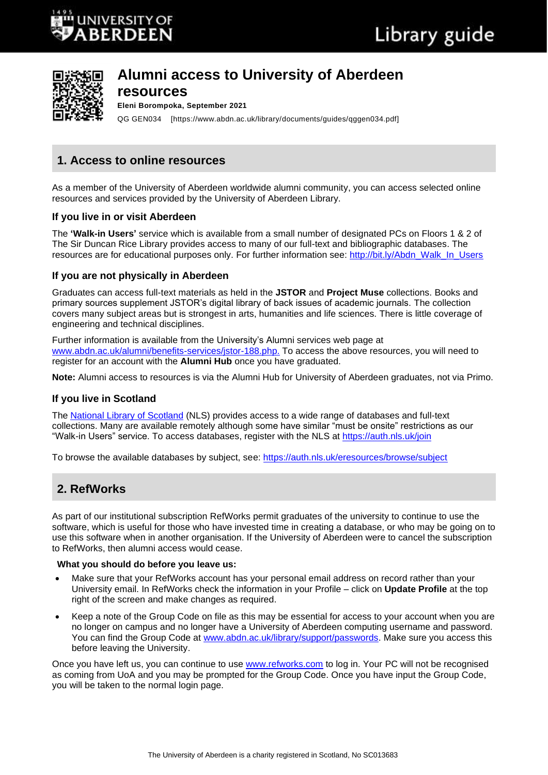

# **Alumni access to University of Aberdeen**

## **resources**

**Eleni Borompoka, September 2021**

QG GEN034 [https://www.abdn.ac.uk/library/documents/guides/qggen034.pdf]

# **1. Access to online resources**

As a member of the University of Aberdeen worldwide alumni community, you can access selected online resources and services provided by the University of Aberdeen Library.

## **If you live in or visit Aberdeen**

The **'Walk-in Users'** service which is available from a small number of designated PCs on Floors 1 & 2 of The Sir Duncan Rice Library provides access to many of our full-text and bibliographic databases. The resources are for educational purposes only. For further information see: [http://bit.ly/Abdn\\_Walk\\_In\\_Users](http://bit.ly/Abdn_Walk_In_Users)

## **If you are not physically in Aberdeen**

Graduates can access full-text materials as held in the **JSTOR** and **Project Muse** collections. Books and primary sources supplement JSTOR's digital library of back issues of academic journals. The collection covers many subject areas but is strongest in arts, humanities and life sciences. There is little coverage of engineering and technical disciplines.

Further information is available from the University's Alumni services web page at [www.abdn.ac.uk/alumni/benefits-services/jstor-188.php.](https://www.abdn.ac.uk/alumni/benefits-services/jstor-188.php) To access the above resources, you will need to register for an account with the **Alumni Hub** once you have graduated.

**Note:** Alumni access to resources is via the Alumni Hub for University of Aberdeen graduates, not via Primo.

# **If you live in Scotland**

The [National Library of Scotland](https://auth.nls.uk/eresources/) (NLS) provides access to a wide range of databases and full-text collections. Many are available remotely although some have similar "must be onsite" restrictions as our "Walk-in Users" service. To access databases, register with the NLS at <https://auth.nls.uk/join>

To browse the available databases by subject, see:<https://auth.nls.uk/eresources/browse/subject>

# **2. RefWorks**

As part of our institutional subscription RefWorks permit graduates of the university to continue to use the software, which is useful for those who have invested time in creating a database, or who may be going on to use this software when in another organisation. If the University of Aberdeen were to cancel the subscription to RefWorks, then alumni access would cease.

#### **What you should do before you leave us:**

- Make sure that your RefWorks account has your personal email address on record rather than your University email. In RefWorks check the information in your Profile – click on **Update Profile** at the top right of the screen and make changes as required.
- Keep a note of the Group Code on file as this may be essential for access to your account when you are no longer on campus and no longer have a University of Aberdeen computing username and password. You can find the Group Code at [www.abdn.ac.uk/library/support/passwords.](https://www.abdn.ac.uk/library/support/passwords) Make sure you access this before leaving the University.

Once you have left us, you can continue to use [www.refworks.com](http://www.refworks.com/) to log in. Your PC will not be recognised as coming from UoA and you may be prompted for the Group Code. Once you have input the Group Code, you will be taken to the normal login page.